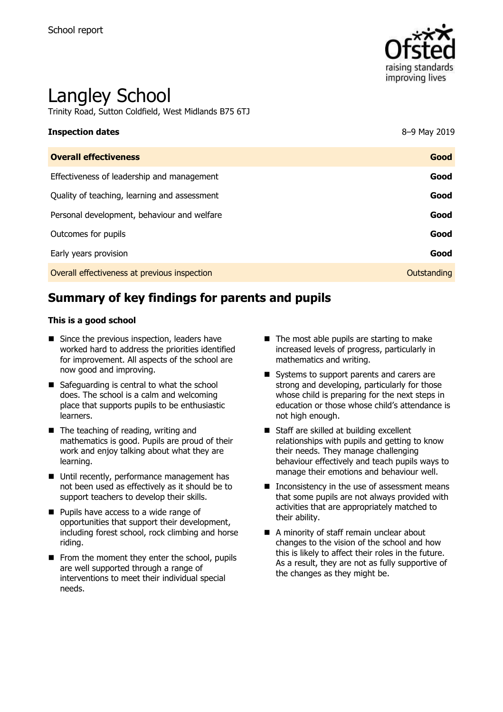

# Langley School

Trinity Road, Sutton Coldfield, West Midlands B75 6TJ

# **Inspection dates** 8–9 May 2019 **Overall effectiveness Good**

| Effectiveness of leadership and management   | Good        |
|----------------------------------------------|-------------|
| Quality of teaching, learning and assessment | Good        |
| Personal development, behaviour and welfare  | Good        |
| Outcomes for pupils                          | Good        |
| Early years provision                        | Good        |
| Overall effectiveness at previous inspection | Outstanding |

# **Summary of key findings for parents and pupils**

#### **This is a good school**

- Since the previous inspection, leaders have worked hard to address the priorities identified for improvement. All aspects of the school are now good and improving.
- Safeguarding is central to what the school does. The school is a calm and welcoming place that supports pupils to be enthusiastic learners.
- The teaching of reading, writing and mathematics is good. Pupils are proud of their work and enjoy talking about what they are learning.
- Until recently, performance management has not been used as effectively as it should be to support teachers to develop their skills.
- **Pupils have access to a wide range of** opportunities that support their development, including forest school, rock climbing and horse riding.
- $\blacksquare$  From the moment they enter the school, pupils are well supported through a range of interventions to meet their individual special needs.
- $\blacksquare$  The most able pupils are starting to make increased levels of progress, particularly in mathematics and writing.
- Systems to support parents and carers are strong and developing, particularly for those whose child is preparing for the next steps in education or those whose child's attendance is not high enough.
- Staff are skilled at building excellent relationships with pupils and getting to know their needs. They manage challenging behaviour effectively and teach pupils ways to manage their emotions and behaviour well.
- $\blacksquare$  Inconsistency in the use of assessment means that some pupils are not always provided with activities that are appropriately matched to their ability.
- A minority of staff remain unclear about changes to the vision of the school and how this is likely to affect their roles in the future. As a result, they are not as fully supportive of the changes as they might be.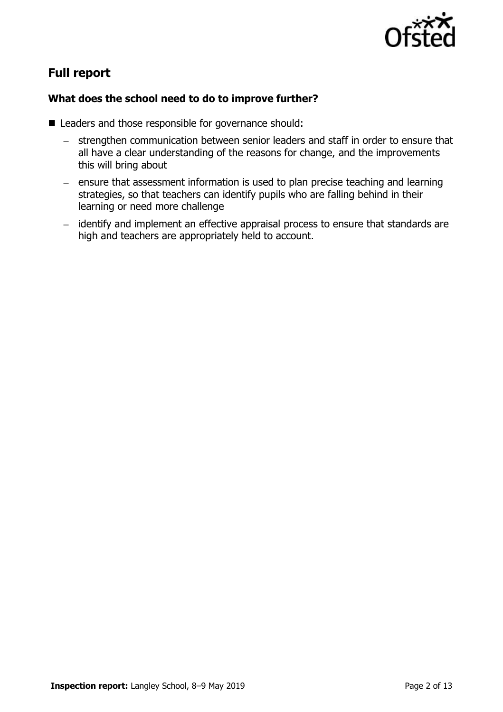

# **Full report**

### **What does the school need to do to improve further?**

- Leaders and those responsible for governance should:
	- strengthen communication between senior leaders and staff in order to ensure that all have a clear understanding of the reasons for change, and the improvements this will bring about
	- $e$  ensure that assessment information is used to plan precise teaching and learning strategies, so that teachers can identify pupils who are falling behind in their learning or need more challenge
	- identify and implement an effective appraisal process to ensure that standards are high and teachers are appropriately held to account.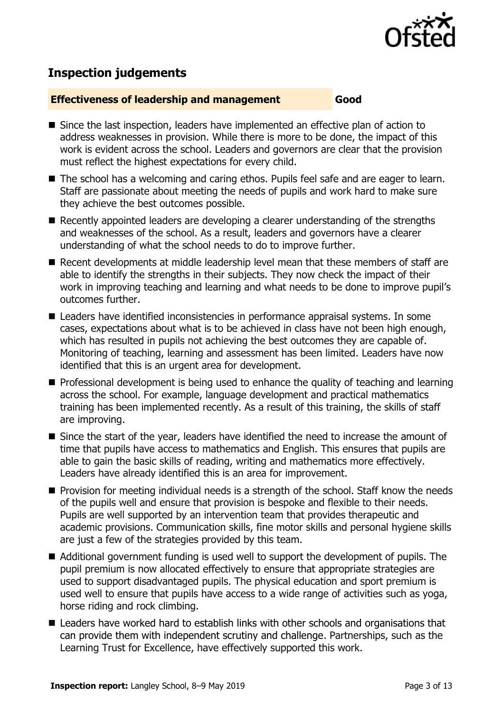

## **Inspection judgements**

#### **Effectiveness of leadership and management Good**

- Since the last inspection, leaders have implemented an effective plan of action to address weaknesses in provision. While there is more to be done, the impact of this work is evident across the school. Leaders and governors are clear that the provision must reflect the highest expectations for every child.
- The school has a welcoming and caring ethos. Pupils feel safe and are eager to learn. Staff are passionate about meeting the needs of pupils and work hard to make sure they achieve the best outcomes possible.
- Recently appointed leaders are developing a clearer understanding of the strengths and weaknesses of the school. As a result, leaders and governors have a clearer understanding of what the school needs to do to improve further.
- Recent developments at middle leadership level mean that these members of staff are able to identify the strengths in their subjects. They now check the impact of their work in improving teaching and learning and what needs to be done to improve pupil's outcomes further.
- Leaders have identified inconsistencies in performance appraisal systems. In some cases, expectations about what is to be achieved in class have not been high enough, which has resulted in pupils not achieving the best outcomes they are capable of. Monitoring of teaching, learning and assessment has been limited. Leaders have now identified that this is an urgent area for development.
- **Professional development is being used to enhance the quality of teaching and learning** across the school. For example, language development and practical mathematics training has been implemented recently. As a result of this training, the skills of staff are improving.
- Since the start of the year, leaders have identified the need to increase the amount of time that pupils have access to mathematics and English. This ensures that pupils are able to gain the basic skills of reading, writing and mathematics more effectively. Leaders have already identified this is an area for improvement.
- **Provision for meeting individual needs is a strength of the school. Staff know the needs** of the pupils well and ensure that provision is bespoke and flexible to their needs. Pupils are well supported by an intervention team that provides therapeutic and academic provisions. Communication skills, fine motor skills and personal hygiene skills are just a few of the strategies provided by this team.
- Additional government funding is used well to support the development of pupils. The pupil premium is now allocated effectively to ensure that appropriate strategies are used to support disadvantaged pupils. The physical education and sport premium is used well to ensure that pupils have access to a wide range of activities such as yoga, horse riding and rock climbing.
- Leaders have worked hard to establish links with other schools and organisations that can provide them with independent scrutiny and challenge. Partnerships, such as the Learning Trust for Excellence, have effectively supported this work.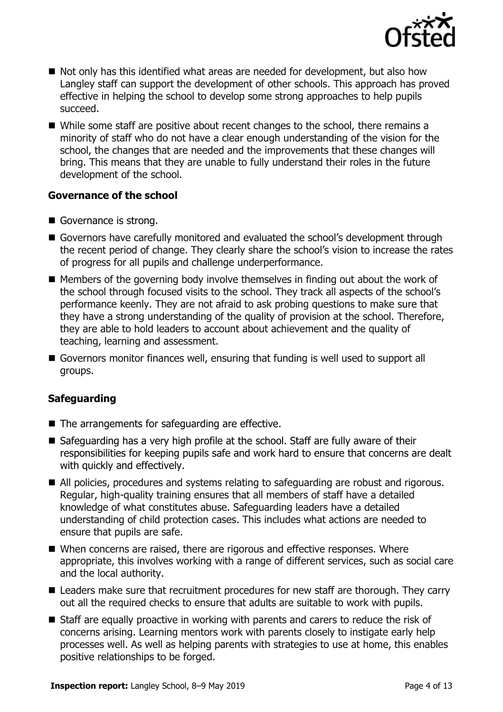

- Not only has this identified what areas are needed for development, but also how Langley staff can support the development of other schools. This approach has proved effective in helping the school to develop some strong approaches to help pupils succeed.
- While some staff are positive about recent changes to the school, there remains a minority of staff who do not have a clear enough understanding of the vision for the school, the changes that are needed and the improvements that these changes will bring. This means that they are unable to fully understand their roles in the future development of the school.

#### **Governance of the school**

- Governance is strong.
- Governors have carefully monitored and evaluated the school's development through the recent period of change. They clearly share the school's vision to increase the rates of progress for all pupils and challenge underperformance.
- $\blacksquare$  Members of the governing body involve themselves in finding out about the work of the school through focused visits to the school. They track all aspects of the school's performance keenly. They are not afraid to ask probing questions to make sure that they have a strong understanding of the quality of provision at the school. Therefore, they are able to hold leaders to account about achievement and the quality of teaching, learning and assessment.
- Governors monitor finances well, ensuring that funding is well used to support all groups.

#### **Safeguarding**

- The arrangements for safeguarding are effective.
- Safeguarding has a very high profile at the school. Staff are fully aware of their responsibilities for keeping pupils safe and work hard to ensure that concerns are dealt with quickly and effectively.
- All policies, procedures and systems relating to safeguarding are robust and rigorous. Regular, high-quality training ensures that all members of staff have a detailed knowledge of what constitutes abuse. Safeguarding leaders have a detailed understanding of child protection cases. This includes what actions are needed to ensure that pupils are safe.
- When concerns are raised, there are rigorous and effective responses. Where appropriate, this involves working with a range of different services, such as social care and the local authority.
- Leaders make sure that recruitment procedures for new staff are thorough. They carry out all the required checks to ensure that adults are suitable to work with pupils.
- Staff are equally proactive in working with parents and carers to reduce the risk of concerns arising. Learning mentors work with parents closely to instigate early help processes well. As well as helping parents with strategies to use at home, this enables positive relationships to be forged.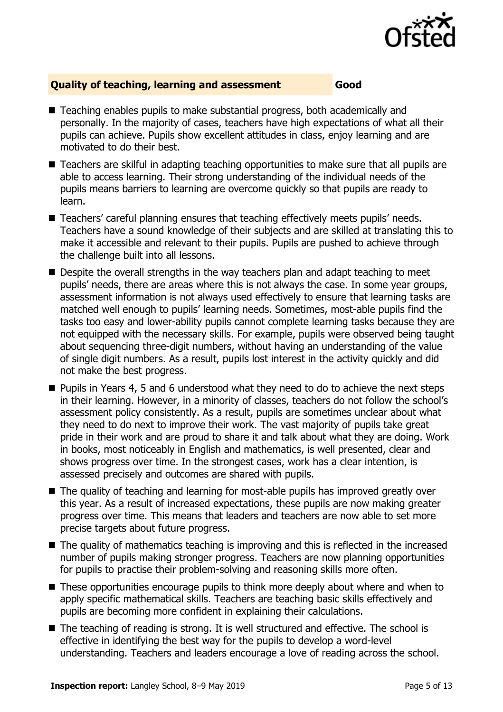

#### **Quality of teaching, learning and assessment Good**

- Teaching enables pupils to make substantial progress, both academically and personally. In the majority of cases, teachers have high expectations of what all their pupils can achieve. Pupils show excellent attitudes in class, enjoy learning and are motivated to do their best.
- Teachers are skilful in adapting teaching opportunities to make sure that all pupils are able to access learning. Their strong understanding of the individual needs of the pupils means barriers to learning are overcome quickly so that pupils are ready to learn.
- Teachers' careful planning ensures that teaching effectively meets pupils' needs. Teachers have a sound knowledge of their subjects and are skilled at translating this to make it accessible and relevant to their pupils. Pupils are pushed to achieve through the challenge built into all lessons.
- Despite the overall strengths in the way teachers plan and adapt teaching to meet pupils' needs, there are areas where this is not always the case. In some year groups, assessment information is not always used effectively to ensure that learning tasks are matched well enough to pupils' learning needs. Sometimes, most-able pupils find the tasks too easy and lower-ability pupils cannot complete learning tasks because they are not equipped with the necessary skills. For example, pupils were observed being taught about sequencing three-digit numbers, without having an understanding of the value of single digit numbers. As a result, pupils lost interest in the activity quickly and did not make the best progress.
- Pupils in Years 4, 5 and 6 understood what they need to do to achieve the next steps in their learning. However, in a minority of classes, teachers do not follow the school's assessment policy consistently. As a result, pupils are sometimes unclear about what they need to do next to improve their work. The vast majority of pupils take great pride in their work and are proud to share it and talk about what they are doing. Work in books, most noticeably in English and mathematics, is well presented, clear and shows progress over time. In the strongest cases, work has a clear intention, is assessed precisely and outcomes are shared with pupils.
- The quality of teaching and learning for most-able pupils has improved greatly over this year. As a result of increased expectations, these pupils are now making greater progress over time. This means that leaders and teachers are now able to set more precise targets about future progress.
- The quality of mathematics teaching is improving and this is reflected in the increased number of pupils making stronger progress. Teachers are now planning opportunities for pupils to practise their problem-solving and reasoning skills more often.
- These opportunities encourage pupils to think more deeply about where and when to apply specific mathematical skills. Teachers are teaching basic skills effectively and pupils are becoming more confident in explaining their calculations.
- The teaching of reading is strong. It is well structured and effective. The school is effective in identifying the best way for the pupils to develop a word-level understanding. Teachers and leaders encourage a love of reading across the school.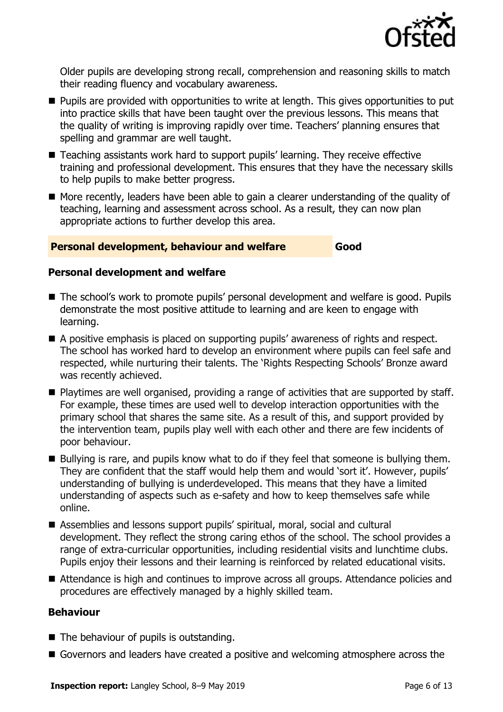

Older pupils are developing strong recall, comprehension and reasoning skills to match their reading fluency and vocabulary awareness.

- **Pupils are provided with opportunities to write at length. This gives opportunities to put** into practice skills that have been taught over the previous lessons. This means that the quality of writing is improving rapidly over time. Teachers' planning ensures that spelling and grammar are well taught.
- Teaching assistants work hard to support pupils' learning. They receive effective training and professional development. This ensures that they have the necessary skills to help pupils to make better progress.
- More recently, leaders have been able to gain a clearer understanding of the quality of teaching, learning and assessment across school. As a result, they can now plan appropriate actions to further develop this area.

#### **Personal development, behaviour and welfare Good**

#### **Personal development and welfare**

- The school's work to promote pupils' personal development and welfare is good. Pupils demonstrate the most positive attitude to learning and are keen to engage with learning.
- A positive emphasis is placed on supporting pupils' awareness of rights and respect. The school has worked hard to develop an environment where pupils can feel safe and respected, while nurturing their talents. The 'Rights Respecting Schools' Bronze award was recently achieved.
- Playtimes are well organised, providing a range of activities that are supported by staff. For example, these times are used well to develop interaction opportunities with the primary school that shares the same site. As a result of this, and support provided by the intervention team, pupils play well with each other and there are few incidents of poor behaviour.
- Bullying is rare, and pupils know what to do if they feel that someone is bullying them. They are confident that the staff would help them and would 'sort it'. However, pupils' understanding of bullying is underdeveloped. This means that they have a limited understanding of aspects such as e-safety and how to keep themselves safe while online.
- Assemblies and lessons support pupils' spiritual, moral, social and cultural development. They reflect the strong caring ethos of the school. The school provides a range of extra-curricular opportunities, including residential visits and lunchtime clubs. Pupils enjoy their lessons and their learning is reinforced by related educational visits.
- Attendance is high and continues to improve across all groups. Attendance policies and procedures are effectively managed by a highly skilled team.

#### **Behaviour**

- The behaviour of pupils is outstanding.
- Governors and leaders have created a positive and welcoming atmosphere across the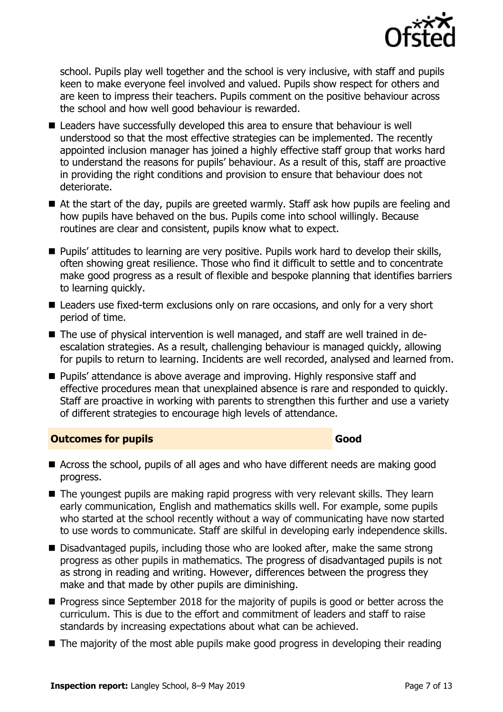

school. Pupils play well together and the school is very inclusive, with staff and pupils keen to make everyone feel involved and valued. Pupils show respect for others and are keen to impress their teachers. Pupils comment on the positive behaviour across the school and how well good behaviour is rewarded.

- Leaders have successfully developed this area to ensure that behaviour is well understood so that the most effective strategies can be implemented. The recently appointed inclusion manager has joined a highly effective staff group that works hard to understand the reasons for pupils' behaviour. As a result of this, staff are proactive in providing the right conditions and provision to ensure that behaviour does not deteriorate.
- At the start of the day, pupils are greeted warmly. Staff ask how pupils are feeling and how pupils have behaved on the bus. Pupils come into school willingly. Because routines are clear and consistent, pupils know what to expect.
- **Pupils' attitudes to learning are very positive. Pupils work hard to develop their skills,** often showing great resilience. Those who find it difficult to settle and to concentrate make good progress as a result of flexible and bespoke planning that identifies barriers to learning quickly.
- Leaders use fixed-term exclusions only on rare occasions, and only for a very short period of time.
- The use of physical intervention is well managed, and staff are well trained in deescalation strategies. As a result, challenging behaviour is managed quickly, allowing for pupils to return to learning. Incidents are well recorded, analysed and learned from.
- **Pupils' attendance is above average and improving. Highly responsive staff and** effective procedures mean that unexplained absence is rare and responded to quickly. Staff are proactive in working with parents to strengthen this further and use a variety of different strategies to encourage high levels of attendance.

#### **Outcomes for pupils Good**

- Across the school, pupils of all ages and who have different needs are making good progress.
- The youngest pupils are making rapid progress with very relevant skills. They learn early communication, English and mathematics skills well. For example, some pupils who started at the school recently without a way of communicating have now started to use words to communicate. Staff are skilful in developing early independence skills.
- Disadvantaged pupils, including those who are looked after, make the same strong progress as other pupils in mathematics. The progress of disadvantaged pupils is not as strong in reading and writing. However, differences between the progress they make and that made by other pupils are diminishing.
- $\blacksquare$  Progress since September 2018 for the majority of pupils is good or better across the curriculum. This is due to the effort and commitment of leaders and staff to raise standards by increasing expectations about what can be achieved.
- The majority of the most able pupils make good progress in developing their reading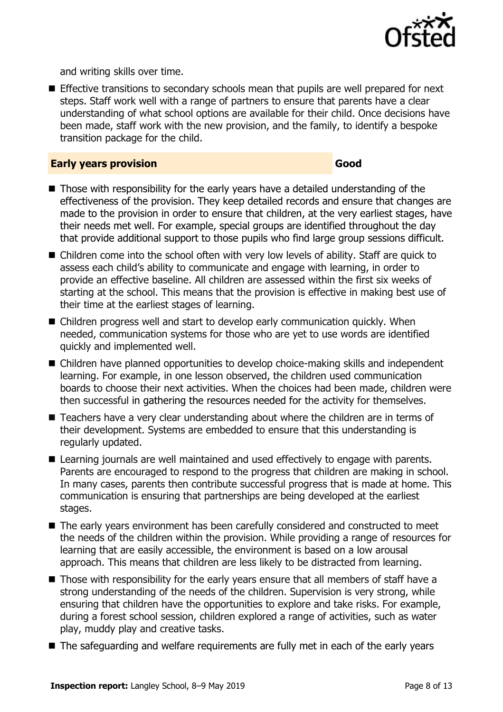

and writing skills over time.

**Effective transitions to secondary schools mean that pupils are well prepared for next** steps. Staff work well with a range of partners to ensure that parents have a clear understanding of what school options are available for their child. Once decisions have been made, staff work with the new provision, and the family, to identify a bespoke transition package for the child.

#### **Early years provision Good Good**

- Those with responsibility for the early years have a detailed understanding of the effectiveness of the provision. They keep detailed records and ensure that changes are made to the provision in order to ensure that children, at the very earliest stages, have their needs met well. For example, special groups are identified throughout the day that provide additional support to those pupils who find large group sessions difficult.
- Children come into the school often with very low levels of ability. Staff are quick to assess each child's ability to communicate and engage with learning, in order to provide an effective baseline. All children are assessed within the first six weeks of starting at the school. This means that the provision is effective in making best use of their time at the earliest stages of learning.
- Children progress well and start to develop early communication quickly. When needed, communication systems for those who are yet to use words are identified quickly and implemented well.
- Children have planned opportunities to develop choice-making skills and independent learning. For example, in one lesson observed, the children used communication boards to choose their next activities. When the choices had been made, children were then successful in gathering the resources needed for the activity for themselves.
- Teachers have a very clear understanding about where the children are in terms of their development. Systems are embedded to ensure that this understanding is regularly updated.
- Learning journals are well maintained and used effectively to engage with parents. Parents are encouraged to respond to the progress that children are making in school. In many cases, parents then contribute successful progress that is made at home. This communication is ensuring that partnerships are being developed at the earliest stages.
- The early years environment has been carefully considered and constructed to meet the needs of the children within the provision. While providing a range of resources for learning that are easily accessible, the environment is based on a low arousal approach. This means that children are less likely to be distracted from learning.
- Those with responsibility for the early years ensure that all members of staff have a strong understanding of the needs of the children. Supervision is very strong, while ensuring that children have the opportunities to explore and take risks. For example, during a forest school session, children explored a range of activities, such as water play, muddy play and creative tasks.
- The safeguarding and welfare requirements are fully met in each of the early years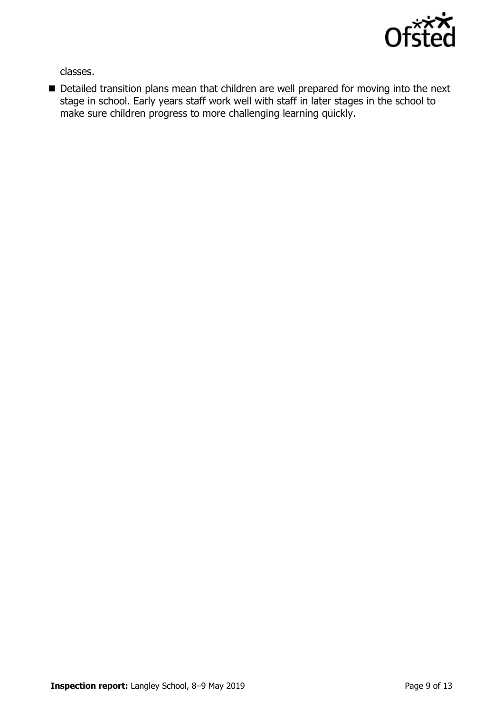

classes.

Detailed transition plans mean that children are well prepared for moving into the next stage in school. Early years staff work well with staff in later stages in the school to make sure children progress to more challenging learning quickly.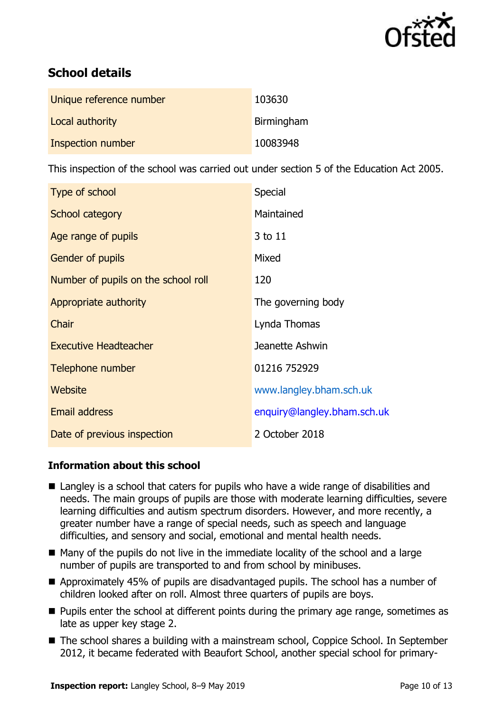

# **School details**

| Unique reference number | 103630     |
|-------------------------|------------|
| Local authority         | Birmingham |
| Inspection number       | 10083948   |

This inspection of the school was carried out under section 5 of the Education Act 2005.

| Type of school                      | Special                     |
|-------------------------------------|-----------------------------|
| School category                     | Maintained                  |
| Age range of pupils                 | 3 to 11                     |
| <b>Gender of pupils</b>             | Mixed                       |
| Number of pupils on the school roll | 120                         |
| Appropriate authority               | The governing body          |
| Chair                               | Lynda Thomas                |
| <b>Executive Headteacher</b>        | Jeanette Ashwin             |
| Telephone number                    | 01216 752929                |
| Website                             | www.langley.bham.sch.uk     |
| Email address                       | enquiry@langley.bham.sch.uk |
| Date of previous inspection         | 2 October 2018              |

### **Information about this school**

- Langley is a school that caters for pupils who have a wide range of disabilities and needs. The main groups of pupils are those with moderate learning difficulties, severe learning difficulties and autism spectrum disorders. However, and more recently, a greater number have a range of special needs, such as speech and language difficulties, and sensory and social, emotional and mental health needs.
- $\blacksquare$  Many of the pupils do not live in the immediate locality of the school and a large number of pupils are transported to and from school by minibuses.
- Approximately 45% of pupils are disadvantaged pupils. The school has a number of children looked after on roll. Almost three quarters of pupils are boys.
- **Pupils enter the school at different points during the primary age range, sometimes as** late as upper key stage 2.
- The school shares a building with a mainstream school, Coppice School. In September 2012, it became federated with Beaufort School, another special school for primary-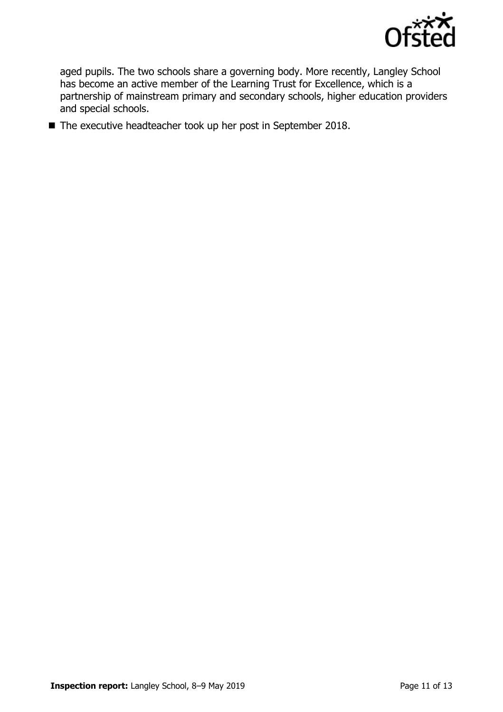

aged pupils. The two schools share a governing body. More recently, Langley School has become an active member of the Learning Trust for Excellence, which is a partnership of mainstream primary and secondary schools, higher education providers and special schools.

■ The executive headteacher took up her post in September 2018.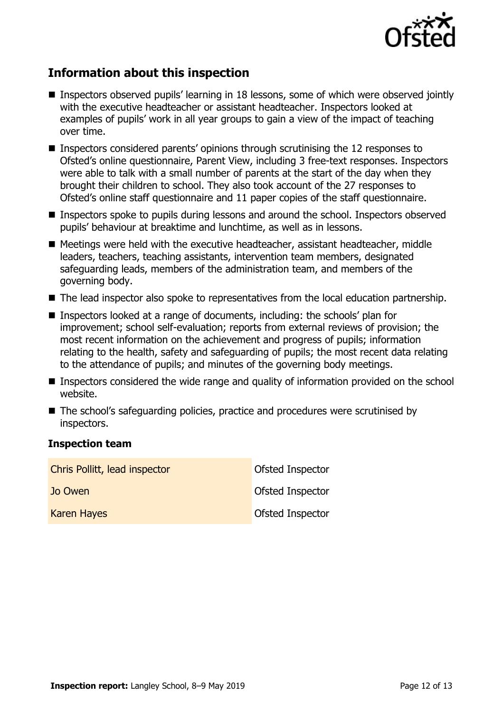

## **Information about this inspection**

- Inspectors observed pupils' learning in 18 lessons, some of which were observed jointly with the executive headteacher or assistant headteacher. Inspectors looked at examples of pupils' work in all year groups to gain a view of the impact of teaching over time.
- **Inspectors considered parents' opinions through scrutinising the 12 responses to** Ofsted's online questionnaire, Parent View, including 3 free-text responses. Inspectors were able to talk with a small number of parents at the start of the day when they brought their children to school. They also took account of the 27 responses to Ofsted's online staff questionnaire and 11 paper copies of the staff questionnaire.
- **Inspectors spoke to pupils during lessons and around the school. Inspectors observed** pupils' behaviour at breaktime and lunchtime, as well as in lessons.
- Meetings were held with the executive headteacher, assistant headteacher, middle leaders, teachers, teaching assistants, intervention team members, designated safeguarding leads, members of the administration team, and members of the governing body.
- The lead inspector also spoke to representatives from the local education partnership.
- Inspectors looked at a range of documents, including: the schools' plan for improvement; school self-evaluation; reports from external reviews of provision; the most recent information on the achievement and progress of pupils; information relating to the health, safety and safeguarding of pupils; the most recent data relating to the attendance of pupils; and minutes of the governing body meetings.
- **Inspectors considered the wide range and quality of information provided on the school** website.
- The school's safeguarding policies, practice and procedures were scrutinised by inspectors.

#### **Inspection team**

| Chris Pollitt, lead inspector | Ofsted Inspector        |
|-------------------------------|-------------------------|
| Jo Owen                       | Ofsted Inspector        |
| <b>Karen Hayes</b>            | <b>Ofsted Inspector</b> |